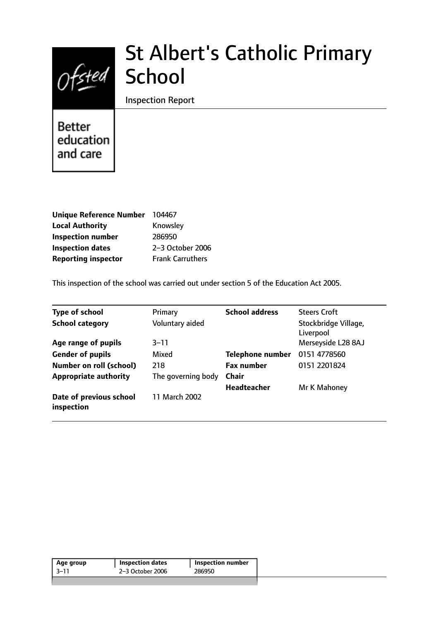

# St Albert's Catholic Primary **School**

Inspection Report

**Better** education and care

| <b>Unique Reference Number</b> | 104467                  |
|--------------------------------|-------------------------|
| <b>Local Authority</b>         | Knowsley                |
| <b>Inspection number</b>       | 286950                  |
| <b>Inspection dates</b>        | 2-3 October 2006        |
| <b>Reporting inspector</b>     | <b>Frank Carruthers</b> |

This inspection of the school was carried out under section 5 of the Education Act 2005.

| <b>Type of school</b>                 | Primary            | <b>School address</b>   | <b>Steers Croft</b>               |
|---------------------------------------|--------------------|-------------------------|-----------------------------------|
| <b>School category</b>                | Voluntary aided    |                         | Stockbridge Village,<br>Liverpool |
| Age range of pupils                   | $3 - 11$           |                         | Merseyside L28 8AJ                |
| <b>Gender of pupils</b>               | Mixed              | <b>Telephone number</b> | 0151 4778560                      |
| <b>Number on roll (school)</b>        | 218                | <b>Fax number</b>       | 0151 2201824                      |
| <b>Appropriate authority</b>          | The governing body | Chair                   |                                   |
|                                       |                    | Headteacher             | Mr K Mahoney                      |
| Date of previous school<br>inspection | 11 March 2002      |                         |                                   |

| 2-3 October 2006<br>3–11<br>286950 | Age group | <b>Inspection dates</b> | Inspection number |
|------------------------------------|-----------|-------------------------|-------------------|
|                                    |           |                         |                   |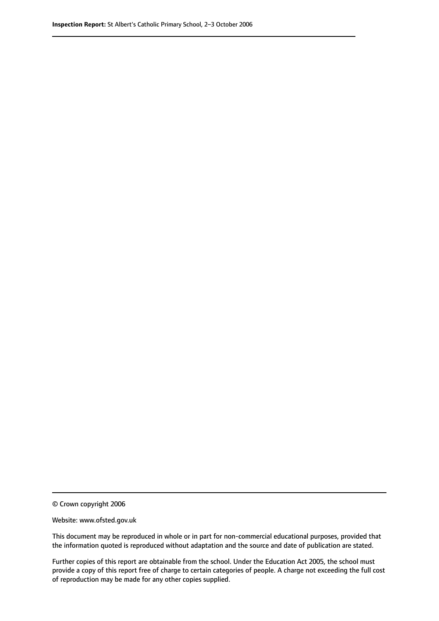© Crown copyright 2006

Website: www.ofsted.gov.uk

This document may be reproduced in whole or in part for non-commercial educational purposes, provided that the information quoted is reproduced without adaptation and the source and date of publication are stated.

Further copies of this report are obtainable from the school. Under the Education Act 2005, the school must provide a copy of this report free of charge to certain categories of people. A charge not exceeding the full cost of reproduction may be made for any other copies supplied.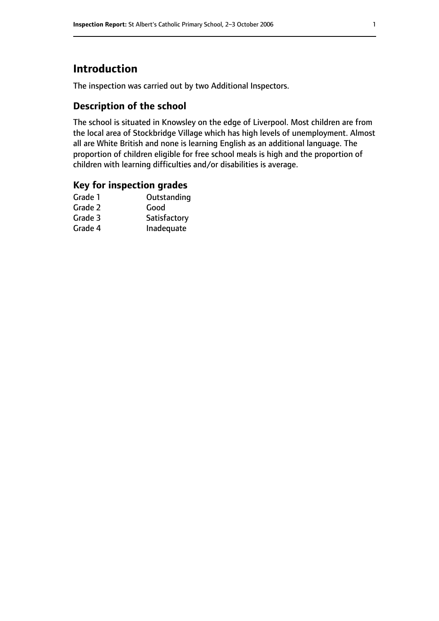# **Introduction**

The inspection was carried out by two Additional Inspectors.

## **Description of the school**

The school is situated in Knowsley on the edge of Liverpool. Most children are from the local area of Stockbridge Village which has high levels of unemployment. Almost all are White British and none is learning English as an additional language. The proportion of children eligible for free school meals is high and the proportion of children with learning difficulties and/or disabilities is average.

## **Key for inspection grades**

| Outstanding  |
|--------------|
| Good         |
| Satisfactory |
| Inadequate   |
|              |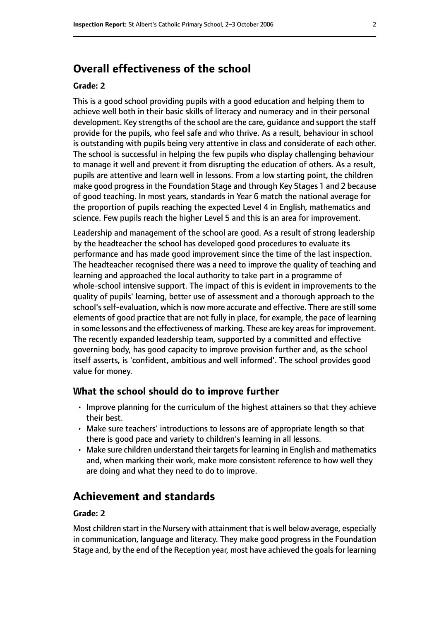# **Overall effectiveness of the school**

#### **Grade: 2**

This is a good school providing pupils with a good education and helping them to achieve well both in their basic skills of literacy and numeracy and in their personal development. Key strengths of the school are the care, guidance and support the staff provide for the pupils, who feel safe and who thrive. As a result, behaviour in school is outstanding with pupils being very attentive in class and considerate of each other. The school is successful in helping the few pupils who display challenging behaviour to manage it well and prevent it from disrupting the education of others. As a result, pupils are attentive and learn well in lessons. From a low starting point, the children make good progress in the Foundation Stage and through Key Stages 1 and 2 because of good teaching. In most years, standards in Year 6 match the national average for the proportion of pupils reaching the expected Level 4 in English, mathematics and science. Few pupils reach the higher Level 5 and this is an area for improvement.

Leadership and management of the school are good. As a result of strong leadership by the headteacher the school has developed good procedures to evaluate its performance and has made good improvement since the time of the last inspection. The headteacher recognised there was a need to improve the quality of teaching and learning and approached the local authority to take part in a programme of whole-school intensive support. The impact of this is evident in improvements to the quality of pupils' learning, better use of assessment and a thorough approach to the school's self-evaluation, which is now more accurate and effective. There are still some elements of good practice that are not fully in place, for example, the pace of learning in some lessons and the effectiveness of marking. These are key areas for improvement. The recently expanded leadership team, supported by a committed and effective governing body, has good capacity to improve provision further and, as the school itself asserts, is 'confident, ambitious and well informed'. The school provides good value for money.

#### **What the school should do to improve further**

- Improve planning for the curriculum of the highest attainers so that they achieve their best.
- Make sure teachers' introductions to lessons are of appropriate length so that there is good pace and variety to children's learning in all lessons.
- Make sure children understand their targets for learning in English and mathematics and, when marking their work, make more consistent reference to how well they are doing and what they need to do to improve.

# **Achievement and standards**

#### **Grade: 2**

Most children start in the Nursery with attainment that is well below average, especially in communication, language and literacy. They make good progress in the Foundation Stage and, by the end of the Reception year, most have achieved the goals for learning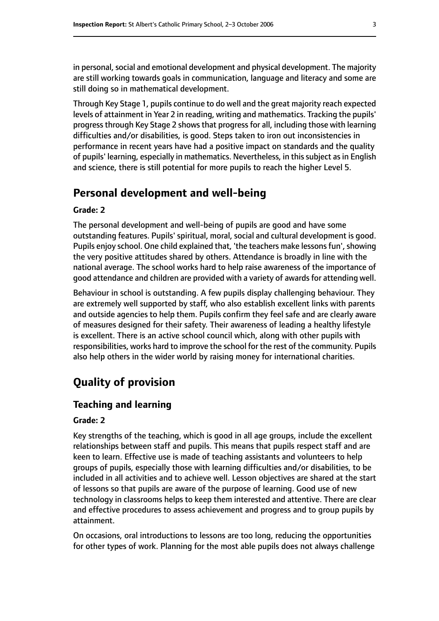in personal, social and emotional development and physical development. The majority are still working towards goals in communication, language and literacy and some are still doing so in mathematical development.

Through Key Stage 1, pupils continue to do well and the great majority reach expected levels of attainment in Year 2 in reading, writing and mathematics. Tracking the pupils' progress through Key Stage 2 shows that progress for all, including those with learning difficulties and/or disabilities, is good. Steps taken to iron out inconsistencies in performance in recent years have had a positive impact on standards and the quality of pupils' learning, especially in mathematics. Nevertheless, in this subject as in English and science, there is still potential for more pupils to reach the higher Level 5.

## **Personal development and well-being**

#### **Grade: 2**

The personal development and well-being of pupils are good and have some outstanding features. Pupils' spiritual, moral, social and cultural development is good. Pupils enjoy school. One child explained that, 'the teachers make lessons fun', showing the very positive attitudes shared by others. Attendance is broadly in line with the national average. The school works hard to help raise awareness of the importance of good attendance and children are provided with a variety of awards for attending well.

Behaviour in school is outstanding. A few pupils display challenging behaviour. They are extremely well supported by staff, who also establish excellent links with parents and outside agencies to help them. Pupils confirm they feel safe and are clearly aware of measures designed for their safety. Their awareness of leading a healthy lifestyle is excellent. There is an active school council which, along with other pupils with responsibilities, works hard to improve the school for the rest of the community. Pupils also help others in the wider world by raising money for international charities.

# **Quality of provision**

#### **Teaching and learning**

#### **Grade: 2**

Key strengths of the teaching, which is good in all age groups, include the excellent relationships between staff and pupils. This means that pupils respect staff and are keen to learn. Effective use is made of teaching assistants and volunteers to help groups of pupils, especially those with learning difficulties and/or disabilities, to be included in all activities and to achieve well. Lesson objectives are shared at the start of lessons so that pupils are aware of the purpose of learning. Good use of new technology in classrooms helps to keep them interested and attentive. There are clear and effective procedures to assess achievement and progress and to group pupils by attainment.

On occasions, oral introductions to lessons are too long, reducing the opportunities for other types of work. Planning for the most able pupils does not always challenge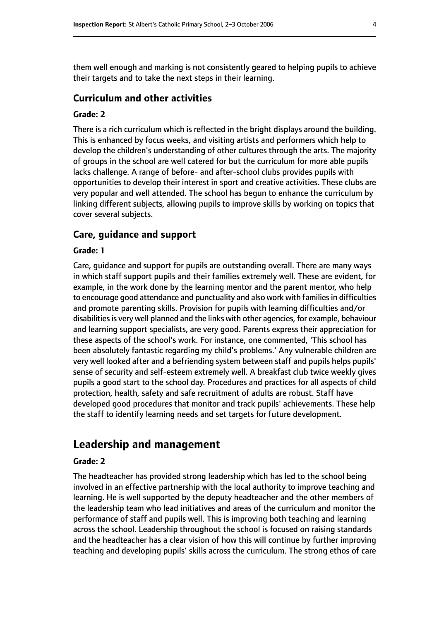them well enough and marking is not consistently geared to helping pupils to achieve their targets and to take the next steps in their learning.

#### **Curriculum and other activities**

#### **Grade: 2**

There is a rich curriculum which is reflected in the bright displays around the building. This is enhanced by focus weeks, and visiting artists and performers which help to develop the children's understanding of other cultures through the arts. The majority of groups in the school are well catered for but the curriculum for more able pupils lacks challenge. A range of before- and after-school clubs provides pupils with opportunities to develop their interest in sport and creative activities. These clubs are very popular and well attended. The school has begun to enhance the curriculum by linking different subjects, allowing pupils to improve skills by working on topics that cover several subjects.

#### **Care, guidance and support**

#### **Grade: 1**

Care, guidance and support for pupils are outstanding overall. There are many ways in which staff support pupils and their families extremely well. These are evident, for example, in the work done by the learning mentor and the parent mentor, who help to encourage good attendance and punctuality and also work with families in difficulties and promote parenting skills. Provision for pupils with learning difficulties and/or disabilities is very well planned and the links with other agencies, for example, behaviour and learning support specialists, are very good. Parents express their appreciation for these aspects of the school's work. For instance, one commented, 'This school has been absolutely fantastic regarding my child's problems.' Any vulnerable children are very well looked after and a befriending system between staff and pupils helps pupils' sense of security and self-esteem extremely well. A breakfast club twice weekly gives pupils a good start to the school day. Procedures and practices for all aspects of child protection, health, safety and safe recruitment of adults are robust. Staff have developed good procedures that monitor and track pupils' achievements. These help the staff to identify learning needs and set targets for future development.

## **Leadership and management**

#### **Grade: 2**

The headteacher has provided strong leadership which has led to the school being involved in an effective partnership with the local authority to improve teaching and learning. He is well supported by the deputy headteacher and the other members of the leadership team who lead initiatives and areas of the curriculum and monitor the performance of staff and pupils well. This is improving both teaching and learning across the school. Leadership throughout the school is focused on raising standards and the headteacher has a clear vision of how this will continue by further improving teaching and developing pupils' skills across the curriculum. The strong ethos of care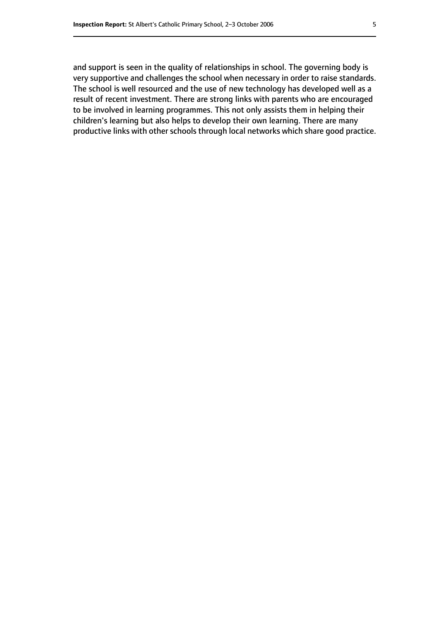and support is seen in the quality of relationships in school. The governing body is very supportive and challenges the school when necessary in order to raise standards. The school is well resourced and the use of new technology has developed well as a result of recent investment. There are strong links with parents who are encouraged to be involved in learning programmes. This not only assists them in helping their children's learning but also helps to develop their own learning. There are many productive links with other schools through local networks which share good practice.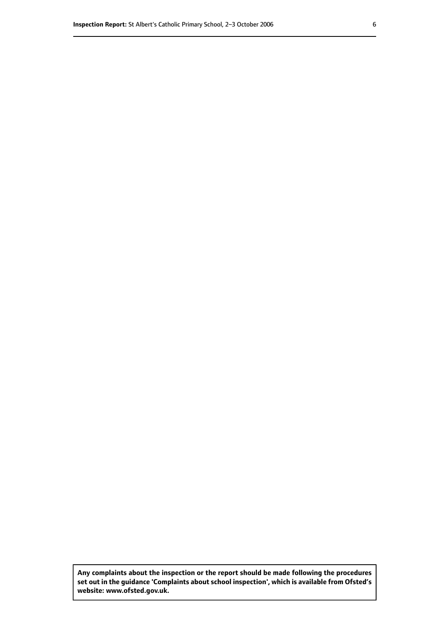**Any complaints about the inspection or the report should be made following the procedures set out inthe guidance 'Complaints about school inspection', whichis available from Ofsted's website: www.ofsted.gov.uk.**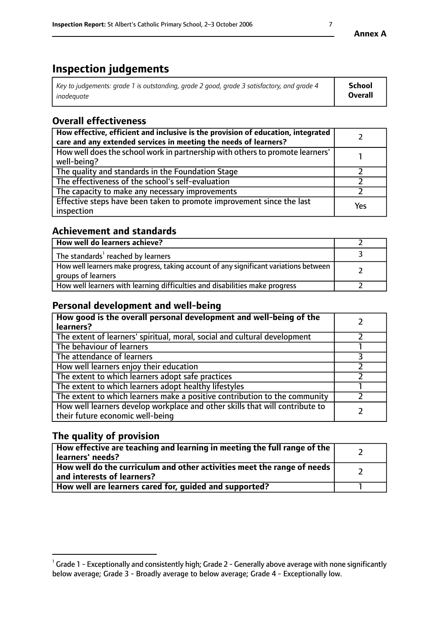# **Inspection judgements**

| Key to judgements: grade 1 is outstanding, grade 2 good, grade 3 satisfactory, and grade 4 | <b>School</b>  |
|--------------------------------------------------------------------------------------------|----------------|
| inadeauate                                                                                 | <b>Overall</b> |

# **Overall effectiveness**

| How effective, efficient and inclusive is the provision of education, integrated<br>care and any extended services in meeting the needs of learners? |     |
|------------------------------------------------------------------------------------------------------------------------------------------------------|-----|
| How well does the school work in partnership with others to promote learners'<br>well-being?                                                         |     |
| The quality and standards in the Foundation Stage                                                                                                    |     |
| The effectiveness of the school's self-evaluation                                                                                                    |     |
| The capacity to make any necessary improvements                                                                                                      |     |
| Effective steps have been taken to promote improvement since the last<br>inspection                                                                  | Yes |

## **Achievement and standards**

| How well do learners achieve?                                                                               |  |
|-------------------------------------------------------------------------------------------------------------|--|
| The standards <sup>1</sup> reached by learners                                                              |  |
| How well learners make progress, taking account of any significant variations between<br>groups of learners |  |
| How well learners with learning difficulties and disabilities make progress                                 |  |

# **Personal development and well-being**

| How good is the overall personal development and well-being of the<br>learners?                                  |  |
|------------------------------------------------------------------------------------------------------------------|--|
| The extent of learners' spiritual, moral, social and cultural development                                        |  |
| The behaviour of learners                                                                                        |  |
| The attendance of learners                                                                                       |  |
| How well learners enjoy their education                                                                          |  |
| The extent to which learners adopt safe practices                                                                |  |
| The extent to which learners adopt healthy lifestyles                                                            |  |
| The extent to which learners make a positive contribution to the community                                       |  |
| How well learners develop workplace and other skills that will contribute to<br>their future economic well-being |  |

# **The quality of provision**

| How effective are teaching and learning in meeting the full range of the<br>  learners' needs?                      |  |
|---------------------------------------------------------------------------------------------------------------------|--|
| $\mid$ How well do the curriculum and other activities meet the range of needs<br>$\mid$ and interests of learners? |  |
| How well are learners cared for, guided and supported?                                                              |  |

 $^1$  Grade 1 - Exceptionally and consistently high; Grade 2 - Generally above average with none significantly below average; Grade 3 - Broadly average to below average; Grade 4 - Exceptionally low.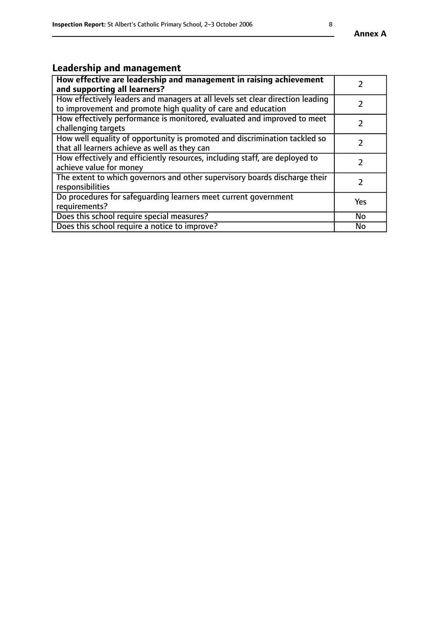# **Leadership and management**

| How effective are leadership and management in raising achievement<br>and supporting all learners?                                              |               |
|-------------------------------------------------------------------------------------------------------------------------------------------------|---------------|
| How effectively leaders and managers at all levels set clear direction leading<br>to improvement and promote high quality of care and education |               |
| How effectively performance is monitored, evaluated and improved to meet<br>challenging targets                                                 | $\mathcal{L}$ |
| How well equality of opportunity is promoted and discrimination tackled so<br>that all learners achieve as well as they can                     |               |
| How effectively and efficiently resources, including staff, are deployed to<br>achieve value for money                                          |               |
| The extent to which governors and other supervisory boards discharge their<br>responsibilities                                                  |               |
| Do procedures for safequarding learners meet current government<br>requirements?                                                                | Yes           |
| Does this school require special measures?                                                                                                      | No            |
| Does this school require a notice to improve?                                                                                                   | <b>No</b>     |